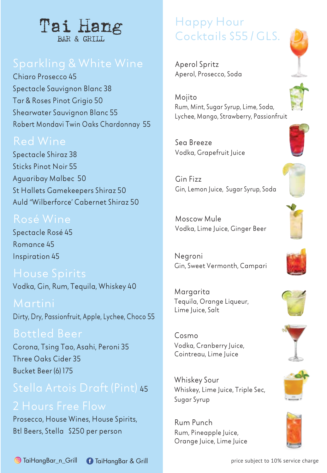

Chiaro Prosecco 45 Spectacle Sauvignon Blanc 38 Tar & Roses Pinot Grigio 50 Shearwater Sauvignon Blanc 55 Robert Mondavi Twin Oaks Chardonnay 55

### Red Wine

Spectacle Shiraz 38 Sticks Pinot Noir 55 Aguaribay Malbec 50 St Hallets Gamekeepers Shiraz 50 Auld "Wilberforce' Cabernet Shiraz 50

Spectacle Rosé 45 Romance 45 Inspiration 45

Vodka, Gin, Rum, Tequila, Whiskey 40

Dirty, Dry, Passionfruit, Apple, Lychee, Choco 55

Bottled Beer Corona, Tsing Tao, Asahi, Peroni 35 Three Oaks Cider 35 Bucket Beer (6) 175

# Stella Artois Draft (Pint) <sup>45</sup>

Prosecco, House Wines, House Spirits, Btl Beers, Stella \$250 per person

# Happy Hour Cocktails \$55 / GLS.

Aperol Spritz Aperol, Prosecco, Soda

Mojito Rum, Mint, Sugar Syrup, Lime, Soda, Lychee, Mango, Strawberry, Passionfruit

Sea Breeze Vodka, Grapefruit Juice

Gin Fizz Gin, Lemon Juice, Sugar Syrup, Soda

Moscow Mule Vodka, Lime Juice, Ginger Beer

Negroni Gin, Sweet Vermonth, Campari

Margarita Tequila, Orange Liqueur, Lime Juice, Salt

Cosmo Vodka, Cranberry Juice, Cointreau, Lime Juice

Whiskey Sour Whiskey, Lime Juice, Triple Sec. Sugar Syrup

Rum Punch Rum, Pineapple Juice, Orange Juice, Lime Juice